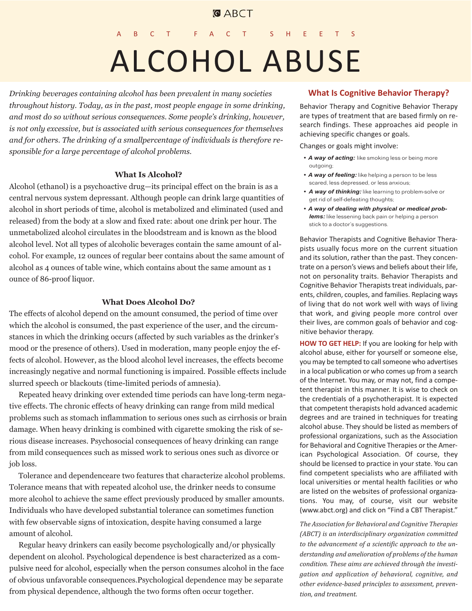# **GABCT**

# C T F A C T S H E E ALCOHOL ABUSE

*Drinking beverages containing alcohol has been prevalent in many societies throughout history. Today, as in the past, most people engage in some drinking, and most do so without serious consequences. Some people's drinking, however, is not only excessive, but is associated with serious consequences for themselves and for others. The drinking of a smallpercentage of individuals is therefore responsible for a large percentage of alcohol problems.*

#### **What Is Alcohol?**

Alcohol (ethanol) is a psychoactive drug—its principal effect on the brain is as a central nervous system depressant. Although people can drink large quantities of alcohol in short periods of time, alcohol is metabolized and eliminated (used and released) from the body at a slow and fixed rate: about one drink per hour. The unmetabolized alcohol circulates in the bloodstream and is known as the blood alcohol level. Not all types of alcoholic beverages contain the same amount of alcohol. For example, 12 ounces of regular beer contains about the same amount of alcohol as 4 ounces of table wine, which contains about the same amount as 1 ounce of 86-proof liquor.

## **What Does Alcohol Do?**

The effects of alcohol depend on the amount consumed, the period of time over which the alcohol is consumed, the past experience of the user, and the circumstances in which the drinking occurs (affected by such variables as the drinker's mood or the presence of others). Used in moderation, many people enjoy the effects of alcohol. However, as the blood alcohol level increases, the effects become increasingly negative and normal functioning is impaired. Possible effects include slurred speech or blackouts (time-limited periods of amnesia).

Repeated heavy drinking over extended time periods can have long-term negative effects. The chronic effects of heavy drinking can range from mild medical problems such as stomach inflammation to serious ones such as cirrhosis or brain damage. When heavy drinking is combined with cigarette smoking the risk of serious disease increases. Psychosocial consequences of heavy drinking can range from mild consequences such as missed work to serious ones such as divorce or job loss.

Tolerance and dependenceare two features that characterize alcohol problems. Tolerance means that with repeated alcohol use, the drinker needs to consume more alcohol to achieve the same effect previously produced by smaller amounts. Individuals who have developed substantial tolerance can sometimes function with few observable signs of intoxication, despite having consumed a large amount of alcohol.

Regular heavy drinkers can easily become psychologically and/or physically dependent on alcohol. Psychological dependence is best characterized as a compulsive need for alcohol, especially when the person consumes alcohol in the face of obvious unfavorable consequences.Psychological dependence may be separate from physical dependence, although the two forms often occur together.

#### **What Is Cognitive Behavior Therapy?**

Behavior Therapy and Cognitive Behavior Therapy are types of treatment that are based firmly on research findings. These approaches aid people in achieving specific changes or goals.

Changes or goals might involve:

- *A way of acting:* like smoking less or being more outgoing;
- *A way of feeling:* like helping a person to be less scared, less depressed, or less anxious;
- *A way of thinking:* like learning to problem-solve or get rid of self-defeating thoughts;
- *A way of dealing with physical or medical problems:* like lessening back pain or helping a person stick to a doctor's suggestions.

Behavior Therapists and Cognitive Behavior Therapists usually focus more on the current situation and its solution, rather than the past. They concentrate on a person's views and beliefs about their life, not on personality traits. Behavior Therapists and Cognitive Behavior Therapists treat individuals, parents, children, couples, and families. Replacing ways of living that do not work well with ways of living that work, and giving people more control over their lives, are common goals of behavior and cognitive behavior therapy.

**HOW TO GET HELP:** If you are looking for help with alcohol abuse, either for yourself or someone else, you may be tempted to call someone who advertises in a local publication or who comes up from a search of the Internet. You may, or may not, find a competent therapist in this manner. It is wise to check on the credentials of a psychotherapist. It is expected that competent therapists hold advanced academic degrees and are trained in techniques for treating alcohol abuse. They should be listed as members of professional organizations, such as the Association for Behavioral and Cognitive Therapies or the American Psychological Association. Of course, they should be licensed to practice in your state. You can find competent specialists who are affiliated with local universities or mental health facilities or who are listed on the websites of professional organizations. You may, of course, visit our website (www.abct.org) and click on "Find a CBT Therapist."

*The Association for Behavioral and Cognitive Therapies (ABCT) is an interdisciplinary organization committed to the advancement of a scientific approach to the understanding and amelioration of problems of the human condition. These aims are achieved through the investigation and application of behavioral, cognitive, and other evidence-based principles to assessment, prevention, and treatment.*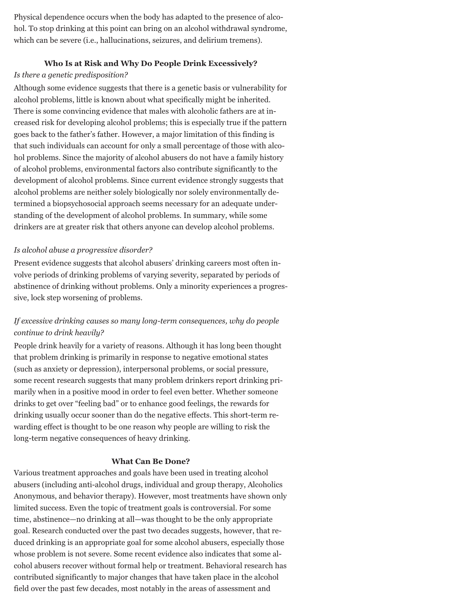Physical dependence occurs when the body has adapted to the presence of alcohol. To stop drinking at this point can bring on an alcohol withdrawal syndrome, which can be severe (i.e., hallucinations, seizures, and delirium tremens).

## **Who Is at Risk and Why Do People Drink Excessively?**

## *Is there a genetic predisposition?*

Although some evidence suggests that there is a genetic basis or vulnerability for alcohol problems, little is known about what specifically might be inherited. There is some convincing evidence that males with alcoholic fathers are at increased risk for developing alcohol problems; this is especially true if the pattern goes back to the father's father. However, a major limitation of this finding is that such individuals can account for only a small percentage of those with alcohol problems. Since the majority of alcohol abusers do not have a family history of alcohol problems, environmental factors also contribute significantly to the development of alcohol problems. Since current evidence strongly suggests that alcohol problems are neither solely biologically nor solely environmentally determined a biopsychosocial approach seems necessary for an adequate understanding of the development of alcohol problems. In summary, while some drinkers are at greater risk that others anyone can develop alcohol problems.

## *Is alcohol abuse a progressive disorder?*

Present evidence suggests that alcohol abusers' drinking careers most often involve periods of drinking problems of varying severity, separated by periods of abstinence of drinking without problems. Only a minority experiences a progressive, lock step worsening of problems.

# *If excessive drinking causes so many long-term consequences, why do people continue to drink heavily?*

People drink heavily for a variety of reasons. Although it has long been thought that problem drinking is primarily in response to negative emotional states (such as anxiety or depression), interpersonal problems, or social pressure, some recent research suggests that many problem drinkers report drinking primarily when in a positive mood in order to feel even better. Whether someone drinks to get over "feeling bad" or to enhance good feelings, the rewards for drinking usually occur sooner than do the negative effects. This short-term rewarding effect is thought to be one reason why people are willing to risk the long-term negative consequences of heavy drinking.

#### **What Can Be Done?**

Various treatment approaches and goals have been used in treating alcohol abusers (including anti-alcohol drugs, individual and group therapy, Alcoholics Anonymous, and behavior therapy). However, most treatments have shown only limited success. Even the topic of treatment goals is controversial. For some time, abstinence—no drinking at all—was thought to be the only appropriate goal. Research conducted over the past two decades suggests, however, that reduced drinking is an appropriate goal for some alcohol abusers, especially those whose problem is not severe. Some recent evidence also indicates that some alcohol abusers recover without formal help or treatment. Behavioral research has contributed significantly to major changes that have taken place in the alcohol field over the past few decades, most notably in the areas of assessment and